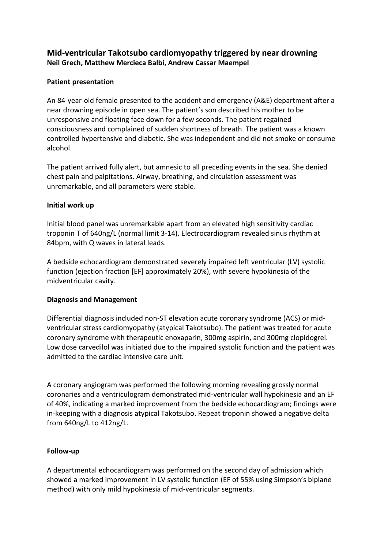# **Mid-ventricular Takotsubo cardiomyopathy triggered by near drowning Neil Grech, Matthew Mercieca Balbi, Andrew Cassar Maempel**

### **Patient presentation**

An 84-year-old female presented to the accident and emergency (A&E) department after a near drowning episode in open sea. The patient's son described his mother to be unresponsive and floating face down for a few seconds. The patient regained consciousness and complained of sudden shortness of breath. The patient was a known controlled hypertensive and diabetic. She was independent and did not smoke or consume alcohol.

The patient arrived fully alert, but amnesic to all preceding events in the sea. She denied chest pain and palpitations. Airway, breathing, and circulation assessment was unremarkable, and all parameters were stable.

### **Initial work up**

Initial blood panel was unremarkable apart from an elevated high sensitivity cardiac troponin T of 640ng/L (normal limit 3-14). Electrocardiogram revealed sinus rhythm at 84bpm, with Q waves in lateral leads.

A bedside echocardiogram demonstrated severely impaired left ventricular (LV) systolic function (ejection fraction [EF] approximately 20%), with severe hypokinesia of the midventricular cavity.

### **Diagnosis and Management**

Differential diagnosis included non-ST elevation acute coronary syndrome (ACS) or midventricular stress cardiomyopathy (atypical Takotsubo). The patient was treated for acute coronary syndrome with therapeutic enoxaparin, 300mg aspirin, and 300mg clopidogrel. Low dose carvedilol was initiated due to the impaired systolic function and the patient was admitted to the cardiac intensive care unit.

A coronary angiogram was performed the following morning revealing grossly normal coronaries and a ventriculogram demonstrated mid-ventricular wall hypokinesia and an EF of 40%, indicating a marked improvement from the bedside echocardiogram; findings were in-keeping with a diagnosis atypical Takotsubo. Repeat troponin showed a negative delta from 640ng/L to 412ng/L.

### **Follow-up**

A departmental echocardiogram was performed on the second day of admission which showed a marked improvement in LV systolic function (EF of 55% using Simpson's biplane method) with only mild hypokinesia of mid-ventricular segments.